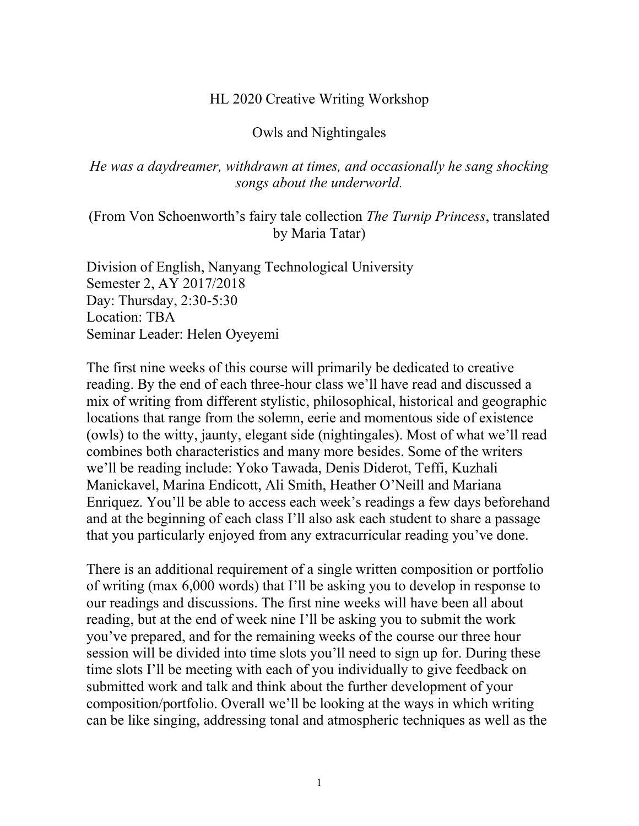#### HL 2020 Creative Writing Workshop

#### Owls and Nightingales

#### *He was a daydreamer, withdrawn at times, and occasionally he sang shocking songs about the underworld.*

## (From Von Schoenworth's fairy tale collection *The Turnip Princess*, translated by Maria Tatar)

Division of English, Nanyang Technological University Semester 2, AY 2017/2018 Day: Thursday, 2:30-5:30 Location: TBA Seminar Leader: Helen Oyeyemi

The first nine weeks of this course will primarily be dedicated to creative reading. By the end of each three-hour class we'll have read and discussed a mix of writing from different stylistic, philosophical, historical and geographic locations that range from the solemn, eerie and momentous side of existence (owls) to the witty, jaunty, elegant side (nightingales). Most of what we'll read combines both characteristics and many more besides. Some of the writers we'll be reading include: Yoko Tawada, Denis Diderot, Teffi, Kuzhali Manickavel, Marina Endicott, Ali Smith, Heather O'Neill and Mariana Enriquez. You'll be able to access each week's readings a few days beforehand and at the beginning of each class I'll also ask each student to share a passage that you particularly enjoyed from any extracurricular reading you've done.

There is an additional requirement of a single written composition or portfolio of writing (max 6,000 words) that I'll be asking you to develop in response to our readings and discussions. The first nine weeks will have been all about reading, but at the end of week nine I'll be asking you to submit the work you've prepared, and for the remaining weeks of the course our three hour session will be divided into time slots you'll need to sign up for. During these time slots I'll be meeting with each of you individually to give feedback on submitted work and talk and think about the further development of your composition/portfolio. Overall we'll be looking at the ways in which writing can be like singing, addressing tonal and atmospheric techniques as well as the